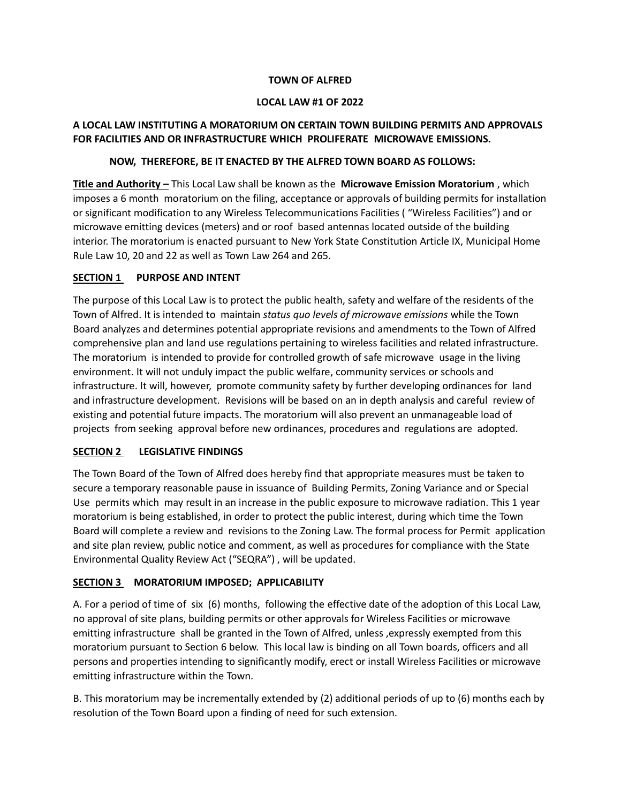#### **TOWN OF ALFRED**

### **LOCAL LAW #1 OF 2022**

# **A LOCAL LAW INSTITUTING A MORATORIUM ON CERTAIN TOWN BUILDING PERMITS AND APPROVALS FOR FACILITIES AND OR INFRASTRUCTURE WHICH PROLIFERATE MICROWAVE EMISSIONS.**

## **NOW, THEREFORE, BE IT ENACTED BY THE ALFRED TOWN BOARD AS FOLLOWS:**

**Title and Authority –** This Local Law shall be known as the **Microwave Emission Moratorium** , which imposes a 6 month moratorium on the filing, acceptance or approvals of building permits for installation or significant modification to any Wireless Telecommunications Facilities ( "Wireless Facilities") and or microwave emitting devices (meters) and or roof based antennas located outside of the building interior. The moratorium is enacted pursuant to New York State Constitution Article IX, Municipal Home Rule Law 10, 20 and 22 as well as Town Law 264 and 265.

## **SECTION 1 PURPOSE AND INTENT**

The purpose of this Local Law is to protect the public health, safety and welfare of the residents of the Town of Alfred. It is intended to maintain *status quo levels of microwave emissions* while the Town Board analyzes and determines potential appropriate revisions and amendments to the Town of Alfred comprehensive plan and land use regulations pertaining to wireless facilities and related infrastructure. The moratorium is intended to provide for controlled growth of safe microwave usage in the living environment. It will not unduly impact the public welfare, community services or schools and infrastructure. It will, however, promote community safety by further developing ordinances for land and infrastructure development. Revisions will be based on an in depth analysis and careful review of existing and potential future impacts. The moratorium will also prevent an unmanageable load of projects from seeking approval before new ordinances, procedures and regulations are adopted.

# **SECTION 2 LEGISLATIVE FINDINGS**

The Town Board of the Town of Alfred does hereby find that appropriate measures must be taken to secure a temporary reasonable pause in issuance of Building Permits, Zoning Variance and or Special Use permits which may result in an increase in the public exposure to microwave radiation. This 1 year moratorium is being established, in order to protect the public interest, during which time the Town Board will complete a review and revisions to the Zoning Law. The formal process for Permit application and site plan review, public notice and comment, as well as procedures for compliance with the State Environmental Quality Review Act ("SEQRA") , will be updated.

# **SECTION 3 MORATORIUM IMPOSED; APPLICABILITY**

A. For a period of time of six (6) months, following the effective date of the adoption of this Local Law, no approval of site plans, building permits or other approvals for Wireless Facilities or microwave emitting infrastructure shall be granted in the Town of Alfred, unless, expressly exempted from this moratorium pursuant to Section 6 below. This local law is binding on all Town boards, officers and all persons and properties intending to significantly modify, erect or install Wireless Facilities or microwave emitting infrastructure within the Town.

B. This moratorium may be incrementally extended by (2) additional periods of up to (6) months each by resolution of the Town Board upon a finding of need for such extension.